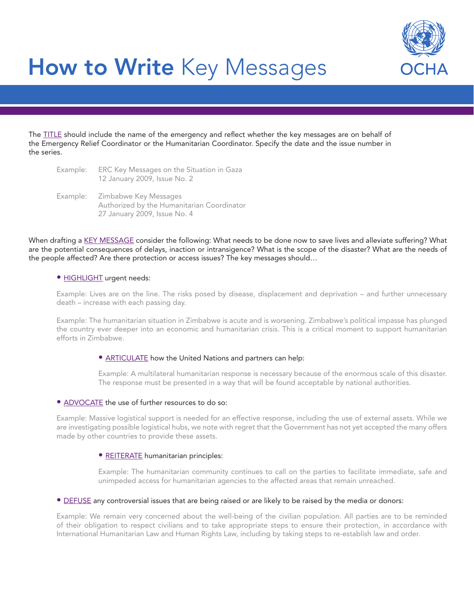

# How to Write Key Messages

The TITLE should include the name of the emergency and reflect whether the key messages are on behalf of the Emergency Relief Coordinator or the Humanitarian Coordinator. Specify the date and the issue number in the series.

| Example: | ERC Key Messages on the Situation in Gaza<br>12 January 2009, Issue No. 2                                    |
|----------|--------------------------------------------------------------------------------------------------------------|
|          | Example: Zimbabwe Key Messages<br>Authorized by the Humanitarian Coordinator<br>27 January 2009, Issue No. 4 |

When drafting a KEY MESSAGE consider the following: What needs to be done now to save lives and alleviate suffering? What are the potential consequences of delays, inaction or intransigence? What is the scope of the disaster? What are the needs of the people affected? Are there protection or access issues? The key messages should…

#### • Highlight urgent needs:

Example: Lives are on the line. The risks posed by disease, displacement and deprivation – and further unnecessary death – increase with each passing day.

Example: The humanitarian situation in Zimbabwe is acute and is worsening. Zimbabwe's political impasse has plunged the country ever deeper into an economic and humanitarian crisis. This is a critical moment to support humanitarian efforts in Zimbabwe.

## • **ARTICULATE** how the United Nations and partners can help:

Example: A multilateral humanitarian response is necessary because of the enormous scale of this disaster. The response must be presented in a way that will be found acceptable by national authorities.

#### • ADVOCATE the use of further resources to do so:

Example: Massive logistical support is needed for an effective response, including the use of external assets. While we are investigating possible logistical hubs, we note with regret that the Government has not yet accepted the many offers made by other countries to provide these assets.

### • REITERATE humanitarian principles:

Example: The humanitarian community continues to call on the parties to facilitate immediate, safe and unimpeded access for humanitarian agencies to the affected areas that remain unreached.

#### • DEFUSE any controversial issues that are being raised or are likely to be raised by the media or donors:

Example: We remain very concerned about the well-being of the civilian population. All parties are to be reminded of their obligation to respect civilians and to take appropriate steps to ensure their protection, in accordance with International Humanitarian Law and Human Rights Law, including by taking steps to re-establish law and order.